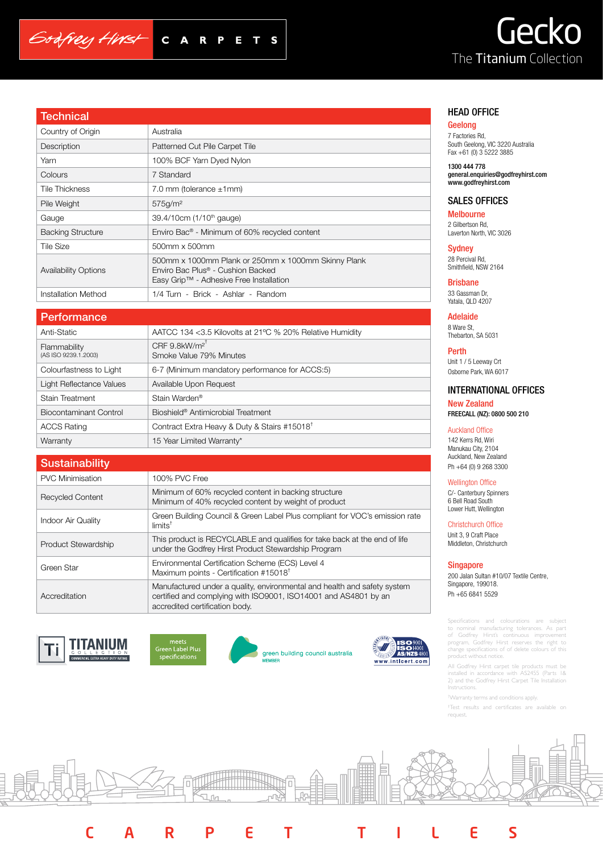# Gecko The Titanium Collection

| Technical                   |                                                                                                                                     |
|-----------------------------|-------------------------------------------------------------------------------------------------------------------------------------|
| Country of Origin           | Australia                                                                                                                           |
| Description                 | Patterned Cut Pile Carpet Tile                                                                                                      |
| Yarn                        | 100% BCF Yarn Dyed Nylon                                                                                                            |
| Colours                     | 7 Standard                                                                                                                          |
| Tile Thickness              | 7.0 mm (tolerance $\pm$ 1 mm)                                                                                                       |
| Pile Weight                 | 575g/m <sup>2</sup>                                                                                                                 |
| Gauge                       | 39.4/10cm (1/10 <sup>th</sup> gauge)                                                                                                |
| <b>Backing Structure</b>    | Enviro Bac <sup>®</sup> - Minimum of 60% recycled content                                                                           |
| <b>Tile Size</b>            | 500mm x 500mm                                                                                                                       |
| <b>Availability Options</b> | 500mm x 1000mm Plank or 250mm x 1000mm Skinny Plank<br>Enviro Bac Plus® - Cushion Backed<br>Easy Grip™ - Adhesive Free Installation |
| Installation Method         | 1/4 Turn - Brick - Ashlar - Random                                                                                                  |

 $C A$ 

 $\mathbf R$ 

 $\blacksquare$ P

S т

# **Performance**

Godfrey Hirst

| Anti-Static                          | AATCC 134 < 3.5 Kilovolts at 21°C % 20% Relative Humidity |
|--------------------------------------|-----------------------------------------------------------|
| Flammability<br>(AS ISO 9239.1.2003) | CRF $9.8$ kW/m <sup>2</sup><br>Smoke Value 79% Minutes    |
| Colourfastness to Light              | 6-7 (Minimum mandatory performance for ACCS:5)            |
| Light Reflectance Values             | Available Upon Request                                    |
| <b>Stain Treatment</b>               | Stain Warden <sup>®</sup>                                 |
| Biocontaminant Control               | Bioshield <sup>®</sup> Antimicrobial Treatment            |
| <b>ACCS Rating</b>                   | Contract Extra Heavy & Duty & Stairs #15018 <sup>t</sup>  |
| Warranty                             | 15 Year Limited Warranty*                                 |
|                                      |                                                           |

| <b>Sustainability</b>   |                                                                                                                                                                               |
|-------------------------|-------------------------------------------------------------------------------------------------------------------------------------------------------------------------------|
| <b>PVC Minimisation</b> | 100% PVC Free                                                                                                                                                                 |
| <b>Recycled Content</b> | Minimum of 60% recycled content in backing structure<br>Minimum of 40% recycled content by weight of product                                                                  |
| Indoor Air Quality      | Green Building Council & Green Label Plus compliant for VOC's emission rate<br>$limits^{\dagger}$                                                                             |
| Product Stewardship     | This product is RECYCLABLE and qualifies for take back at the end of life<br>under the Godfrey Hirst Product Stewardship Program                                              |
| Green Star              | Environmental Certification Scheme (ECS) Level 4<br>Maximum points - Certification #15018 <sup>t</sup>                                                                        |
| Accreditation           | Manufactured under a quality, environmental and health and safety system<br>certified and complying with ISO9001, ISO14001 and AS4801 by an<br>accredited certification body. |









CARPET TILES



### HEAD OFFICE

## Geelong

7 Factories Rd, South Geelong, VIC 3220 Australia Fax +61 (0) 3 5222 3885

1300 444 778 general.enquiries@godfreyhirst.com www.godfreyhirst.com

# SALES OFFICES

Melbourne 2 Gilbertson Rd, Laverton North, VIC 3026

**Sydney** 28 Percival Rd, Smithfield, NSW 2164

Brisbane 33 Gassman Dr, Yatala, QLD 4207

Adelaide 8 Ware St, Thebarton, SA 5031

Perth Unit 1 / 5 Leeway Crt Osborne Park, WA 6017

# INTERNATIONAL OFFICES

New Zealand FREECALL (NZ): 0800 500 210

#### Auckland Office

142 Kerrs Rd, Wiri Manukau City, 2104 Auckland, New Zealand Ph +64 (0) 9 268 3300

### Wellington Office

C/- Canterbury Spinners 6 Bell Road South Lower Hutt, Wellington

Christchurch Office

Unit 3, 9 Craft Place Middleton, Christchurch

#### Singapore

200 Jalan Sultan #10/07 Textile Centre, Singapore, 199018. Ph +65 6841 5529

Specifications and colourations are subject to nominal manufacturing tolerances. As part of Godfrey Hirst's continuous improvement program, Godfrey Hirst reserves the right to change specifications of of delete colours of this product without notice.

All Godfrey Hirst carpet tile products must be installed in accordance with AS2455 (Parts 1& 2) and the Godfrey Hirst Carpet Tile Installation **Instructions** 

† Warranty terms and conditions apply.

† Test results and certificates are available on request.